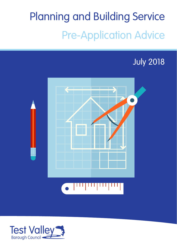# Planning and Building Service Pre-Application Advice

#### July 2018



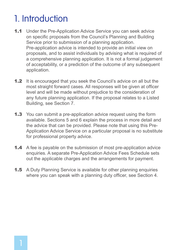#### 1. Introduction

- 1.1 Under the Pre-Application Advice Service you can seek advice on specific proposals from the Council's Planning and Building Service prior to submission of a planning application. Pre-application advice is intended to provide an initial view on proposals, and to assist individuals by advising what is required of a comprehensive planning application. It is not a formal judgement of acceptability, or a prediction of the outcome of any subsequent application.
- **1.2** It is encouraged that you seek the Council's advice on all but the most straight forward cases. All responses will be given at officer level and will be made without prejudice to the consideration of any future planning application. If the proposal relates to a Listed Building, see Section 7.
- **1.3** You can submit a pre-application advice request using the form available. Sections 5 and 6 explain the process in more detail and the advice that can be provided. Please note that using this Pre-Application Advice Service on a particular proposal is no substitute for professional property advice.
- **1.4** A fee is payable on the submission of most pre-application advice enquiries. A separate Pre-Application Advice Fees Schedule sets out the applicable charges and the arrangements for payment.
- **1.5** A Duty Planning Service is available for other planning enquiries where you can speak with a planning duty officer, see Section 4.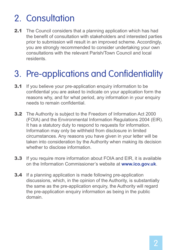## 2. Consultation

**2.1** The Council considers that a planning application which has had the benefit of consultation with stakeholders and interested parties prior to submission will result in an improved scheme. Accordingly, you are strongly recommended to consider undertaking your own consultations with the relevant Parish/Town Council and local residents.

## 3. Pre-applications and Confidentiality

- **3.1** If you believe your pre-application enquiry information to be confidential you are asked to indicate on your application form the reasons why, and for what period, any information in your enquiry needs to remain confidential.
- 3.2 The Authority is subject to the Freedom of Information Act 2000 (FOIA) and the Environmental Information Regulations 2004 (EIR). It has a statutory duty to respond to requests for information. Information may only be withheld from disclosure in limited circumstances. Any reasons you have given in your letter will be taken into consideration by the Authority when making its decision whether to disclose information
- **3.3** If you require more information about FOIA and EIR, it is available on the Information Commissioner's website at **www.ico.gov.uk**.
- **3.4** If a planning application is made following pre-application discussions, which, in the opinion of the Authority, is substantially the same as the pre-application enquiry, the Authority will regard the pre-application enquiry information as being in the public domain.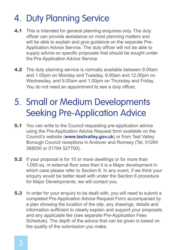## 4. Duty Planning Service

- 4.1 This is intended for general planning enquiries only. The duty officer can provide assistance on most planning matters and will be able to explain and give guidance on the separate Pre-Application Advice Service. The duty officer will not be able to supply advice on specific proposals that should be sought under the Pre-Application Advice Service
- **4.2** The duty planning service is normally available between 9.00am and 1.00pm on Monday and Tuesday, 9.00am and 12.00pm on Wednesday, and 9.00am and 1.00pm on Thursday and Friday. You do not need an appointment to see a duty officer.

## 5. Small or Medium Developments Seeking Pre-Application Advice

- **5.1** You can write to the Council requesting pre-application advice using the Pre-Application Advice Request form available on the Council's website (**www.testvalley.gov.uk**) or from Test Valley Borough Council receptions in Andover and Romsey (Tel. 01264 368000 or 01794 527700).
- **5.2** If your proposal is for 10 or more dwellings or for more than 1,000 sq. m external floor area then it is a Major development in which case please refer to Section 6. In any event, if we think your enquiry would be better dealt with under the Section 6 procedure for Major Developments, we will contact you.
- **5.3** In order for your enquiry to be dealt with, you will need to submit a completed Pre-Application Advice Request Form accompanied by a plan showing the location of the site, any drawings, details and information sufficient to clearly explain and support your proposals and any applicable fee (see separate Pre-Application Fees Schedule). The depth of the advice that can be given is based on the quality of the submission you make.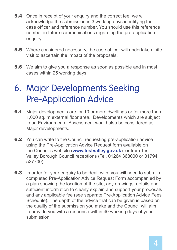- **5.4** Once in receipt of your enquiry and the correct fee, we will acknowledge the submission in 3 working days identifying the case officer and reference number. You should use this reference number in future communications regarding the pre-application enquiry.
- **5.5** Where considered necessary, the case officer will undertake a site visit to ascertain the impact of the proposals.
- **5.6** We aim to give you a response as soon as possible and in most cases within 25 working days.

#### 6. Major Developments Seeking Pre-Application Advice

- **6.1** Major developments are for 10 or more dwellings or for more than 1,000 sq. m external floor area. Developments which are subject to an Environmental Assessment would also be considered as Major developments.
- **6.2** You can write to the Council requesting pre-application advice using the Pre-Application Advice Request form available on the Council's website (**www.testvalley.gov.uk**) or from Test Valley Borough Council receptions (Tel. 01264 368000 or 01794 527700).
- **6.3** In order for your enquiry to be dealt with, you will need to submit a completed Pre-Application Advice Request Form accompanied by a plan showing the location of the site, any drawings, details and sufficient information to clearly explain and support your proposals and any applicable fee (see separate Pre-Application Advice Fees Schedule). The depth of the advice that can be given is based on the quality of the submission you make and the Council will aim to provide you with a response within 40 working days of your submission.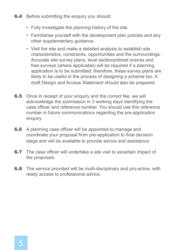- **6.4** Before submitting the enquiry you should:
	- Fully investigate the planning history of the site.
	- Familiarise yourself with the development plan policies and any other supplementary guidance.
	- Visit the site and make a detailed analysis to establish site characteristics, constraints, opportunities and the surroundings. Accurate site survey plans, level sections/street scenes and free surveys (where applicable) will be required if a planning application is to be submitted; therefore, these survey plans are likely to be useful in the process of designing a scheme too. A draft Design and Access Statement should also be prepared.
- **6.5** Once in receipt of your enquiry and the correct fee, we will acknowledge the submission in 3 working days identifying the case officer and reference number. You should use this reference number in future communications regarding the pre-application enquiry.
- **6.6** A planning case officer will be appointed to manage and coordinate your proposal from pre-application to final decision stage and will be available to provide advice and assistance.
- **6.7** The case officer will undertake a site visit to ascertain impact of the proposals.
- **6.8** The service provided will be multi-disciplinary and pro-active, with ready access to professional advice.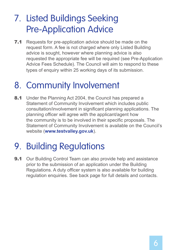## 7. Listed Buildings Seeking Pre-Application Advice

**7.1** Requests for pre-application advice should be made on the request form. A fee is not charged where only Listed Building advice is sought, however where planning advice is also requested the appropriate fee will be required (see Pre-Application Advice Fees Schedule). The Council will aim to respond to these types of enquiry within 25 working days of its submission.

#### 8. Community Involvement

**8.1** Under the Planning Act 2004, the Council has prepared a Statement of Community Involvement which includes public consultation/involvement in significant planning applications. The planning officer will agree with the applicant/agent how the community is to be involved in their specific proposals. The Statement of Community Involvement is available on the Council's website (**www.testvalley.gov.uk**).

# 9. Building Regulations

**9.1** Our Building Control Team can also provide help and assistance prior to the submission of an application under the Building Regulations. A duty officer system is also available for building regulation enquiries. See back page for full details and contacts.